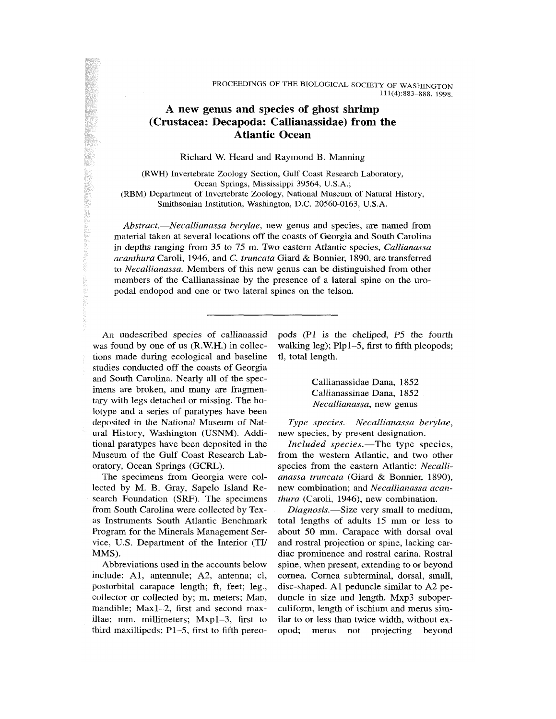## A new genus and species of ghost shrimp (Crustacea: Decapoda: Callianassidae) from the Atlantic Ocean

Richard W. Heard and Raymond B. Manning

(RWH) Invertebrate Zoology Section, Gulf Coast Research Laboratory, Ocean Springs, Mississippi 39564, U.S.A.; (RBM) Department of Invertebrate Zoology, National Museum of Natural History, Smithsonian Institution, Washington, D.C. 20560-0163, U.S.A.

*Abstract.*—*Necallianassa berylae,* new genus and species, are named from material taken at several locations off the coasts of Georgia and South Carolina in depths ranging from 35 to 75 m. Two eastern Atlantic species, *Callianassa acanthura* Caroli, 1946, and *C. truncata* Giard & Bonnier, 1890, are transferred to *Necallianassa.* Members of this new genus can be distinguished from other members of the Callianassinae by the presence of a lateral spine on the uropodal endopod and one or two lateral spines on the telson.

An undescribed species of callianassid was found by one of us (R.W.H.) in collections made during ecological and baseline studies conducted off the coasts of Georgia and South Carolina. Nearly all of the specimens are broken, and many are fragmentary with legs detached or missing. The holotype and a series of paratypes have been deposited in the National Museum of Natural History, Washington (USNM). Additional paratypes have been deposited in the Museum of the Gulf Coast Research Laboratory, Ocean Springs (GCRL).

The specimens from Georgia were collected by M. B. Gray, Sapelo Island Research Foundation (SRF). The specimens from South Carolina were collected by Texas Instruments South Atlantic Benchmark Program for the Minerals Management Service, U.S. Department of the Interior (TI/ MMS).

Abbreviations used in the accounts below include: Al, antennule; A2, antenna; cl, postorbital carapace length; ft, feet; leg., collector or collected by; m, meters; Man, mandible; Maxl-2, first and second maxillae; mm, millimeters; Mxpl-3, first to third maxillipeds;  $P1-5$ , first to fifth pereopods (PI is the cheliped, P5 the fourth walking leg); Plpl-5, first to fifth pleopods; tl, total length.

> Callianassidae Dana, 1852 Callianassinae Dana, 1852 *Necallianassa,* new genus

*Type species.*—*Necallianassa berylae,*  new species, by present designation.

*Included species.*—The type species, from the western Atlantic, and two other species from the eastern Atlantic: *Necallianassa truncata* (Giard & Bonnier, 1890), new combination; and *Necallianassa acanthura* (Caroli, 1946), new combination.

*Diagnosis.*—Size very small to medium, total lengths of adults 15 mm or less to about 50 mm. Carapace with dorsal oval and rostral projection or spine, lacking cardiac prominence and rostral carina. Rostral spine, when present, extending to or beyond cornea. Cornea subterminal, dorsal, small, disc-shaped. Al peduncle similar to A2 peduncle in size and length. Mxp3 suboperculiform, length of ischium and merus similar to or less than twice width, without exopod; merus not projecting beyond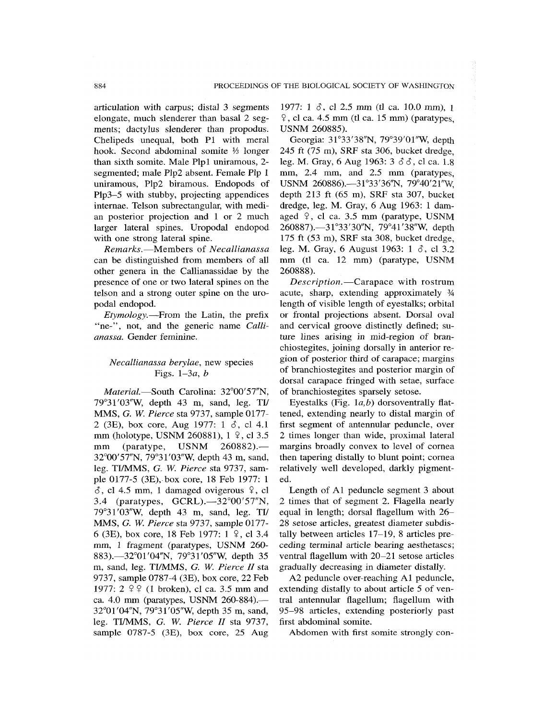articulation with carpus; distal 3 segments elongate, much slenderer than basal 2 segments; dactylus slenderer than propodus. Chelipeds unequal, both PI with meral hook. Second abdominal somite *Vs* longer than sixth somite. Male Plpl uniramous, 2 segmented; male Plp2 absent. Female Pip 1 uniramous, Plp2 biramous. Endopods of Plp3-5 with stubby, projecting appendices intemae. Telson subrectangular, with median posterior projection and 1 or 2 much larger lateral spines. Uropodal endopod with one strong lateral spine.

*Remarks.*—Members of *Necallianassa*  can be distinguished from members of all other genera in the Callianassidae by the presence of one or two lateral spines on the telson and a strong outer spine on the uropodal endopod.

*Etymology.*—From the Latin, the prefix "ne-", not, and the generic name *Callianassa.* Gender feminine.

## *Necallianassa berylae,* new species Figs. *l—3a, b*

*Material—South* Carolina: 32°00'57"N, 79°31'03"W, depth 43 m, sand, leg. TI/ MMS, *G. W. Pierce* sta 9737, sample 0177- 2 (3E), box core, Aug 1977: 1 *S,* cl 4.1 mm (holotype, USNM 260881), 1  $9$ , cl 3.5 mm (paratype, USNM 260882).— 32°00'57"N, 79°31'03"W, depth 43 m, sand, leg. TI/MMS, *G. W. Pierce* sta 9737, sample 0177-5 (3E), box core, 18 Feb 1977: 1  $\delta$ , cl 4.5 mm, 1 damaged ovigerous  $\circ$ , cl 3.4 (paratypes, GCRL).—32°00'57"N, 79°31'03"W, depth 43 m, sand, leg. TI/ MMS, G. *W. Pierce* sta 9737, sample 0177- 6 (3E), box core, 18 Feb 1977:  $1 \,$   $\}$ , cl 3.4 mm, 1 fragment (paratypes, USNM 260- 883).—32°01'04"N, 79°31'05"W, depth 35 m, sand, leg. TI/MMS, G. *W. Pierce 11* sta 9737, sample 0787-4 (3E), box core, 22 Feb 1977:  $2 \frac{9}{7}$  (1 broken), cl ca. 3.5 mm and ca. 4.0 mm (paratypes, USNM 260-884).— 32°01'04"N, 79°31'05"W, depth 35 m, sand, leg. TI/MMS, G. W. *Pierce II* sta 9737, sample 0787-5 (3E), box core, 25 Aug

1977: 1  $\delta$ , cl 2.5 mm (tl ca. 10.0 mm), 1  $\sqrt{9}$ , cl ca. 4.5 mm (tl ca. 15 mm) (paratypes, USNM 260885).

Georgia: 31°33'38"N, 79°39'01"W, depth 245 ft (75 m), SRF sta 306, bucket dredge, leg. M. Gray, 6 Aug 1963: *3 S S, c\* ca. 1.8 mm, 2.4 mm, and 2.5 mm (paratypes, USNM 260886).—31°33'36"N, 79°40'21"W, depth 213 ft (65 m), SRF sta 307, bucket dredge, leg. M. Gray, 6 Aug 1963: 1 damaged  $9$ , cl ca. 3.5 mm (paratype, USNM 260887).—3r33'30"N, 79°41'38"W, depth 175 ft (53 m), SRF sta 308, bucket dredge, leg. M. Gray, 6 August 1963: 1 *S,* cl 3.2 mm (tl ca. 12 mm) (paratype, USNM 260888).

*Description.*—Carapace with rostrum acute, sharp, extending approximately % length of visible length of eyestalks; orbital or frontal projections absent. Dorsal oval and cervical groove distinctly defined; suture lines arising in mid-region of branchiostegites, joining dorsally in anterior region of posterior third of carapace; margins of branchiostegites and posterior margin of dorsal carapace fringed with setae, surface of branchiostegites sparsely setose.

Eyestalks (Fig. *la,b)* dorsoventrally flattened, extending nearly to distal margin of first segment of antennular peduncle, over 2 times longer than wide, proximal lateral margins broadly convex to level of cornea then tapering distally to blunt point; cornea relatively well developed, darkly pigmented.

Length of Al peduncle segment 3 about 2 times that of segment 2. Flagella nearly equal in length; dorsal flagellum with 26— 28 setose articles, greatest diameter subdistally between articles 17-19, 8 articles preceding terminal article bearing aesthetascs; ventral flagellum with 20-21 setose articles gradually decreasing in diameter distally.

A2 peduncle over-reaching Al peduncle, extending distally to about article 5 of ventral antennular flagellum; flagellum with 95-98 articles, extending posteriorly past first abdominal somite.

Abdomen with first somite strongly con-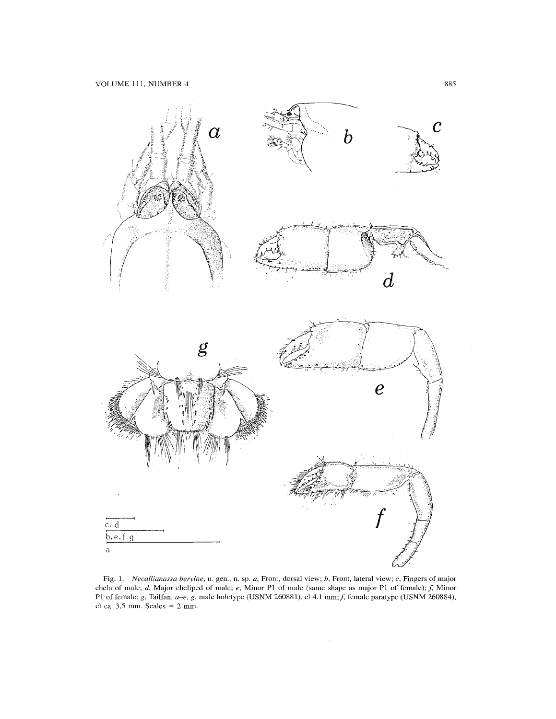

Fig. 1. *NecalUanassa berylae,* n. gen., n. sp. *a.* Front, dorsal view; *b.* Front, lateral view; c. Fingers of major chela of male; *d*, Major cheliped of male; *e*, Minor P1 of male (same shape as major P1 of female); *f*, Minor P1 of female; *g*, Tailfan. *a-e*, *g*, male holotype (USNM 260881), cl 4.1 mm; *f*, female paratype (USNM 260884), cl ca.  $3.5$  mm. Scales  $= 2$  mm.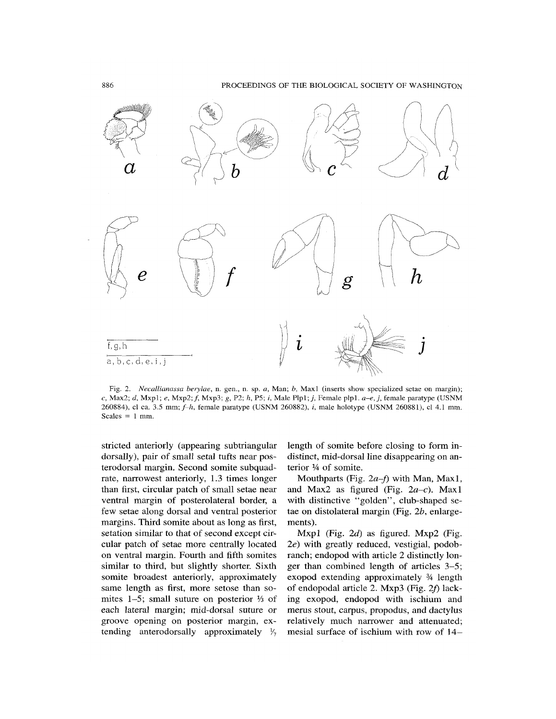

Fig. 2. *NecaUianassa berylae,* n. gen., n. sp. *a,* Man; *b,* Maxl (inserts show specialized setae on margin); c, Max2; *d,* Mxpl; *e,* Mxp2;/, Mxp3; g, P2; *h,* P5; /, Male Plpl;i, Female plpl. *a-e,j,* female paratype (USNM 260884), cl ca. 3.5 *mm; f-h,* female paratype (USNM 260882), *i,* male holotype (USNM 260881), cl 4.1 mm. Scales  $= 1$  mm.

stricted anteriorly (appearing subtriangular dorsally), pair of small setal tufts near posterodorsal margin. Second somite subquadrate, narrowest anteriorly, 1.3 times longer than first, circular patch of small setae near ventral margin of posterolateral border, a few setae along dorsal and ventral posterior margins. Third somite about as long as first, setation similar to that of second except circular patch of setae more centrally located on ventral margin. Fourth and fifth somites similar to third, but slightly shorter. Sixth somite broadest anteriorly, approximately same length as first, more setose than somites 1-5; small suture on posterior % of each lateral margin; mid-dorsal suture or groove opening on posterior margin, extending anterodorsally approximately *V-,* 

length of somite before closing to form indistinct, mid-dorsal line disappearing on anterior  $\frac{1}{4}$  of somite.

Mouthparts (Fig.  $2a-f$ ) with Man, Max1, and Max2 as figured (Fig.  $2a-c$ ). Max1 with distinctive "golden", club-shaped setae on distolateral margin (Fig. *2b,* enlargements).

Mxpl (Fig. *2d)* as figured. Mxp2 (Fig. *2e)* with greatly reduced, vestigial, podobranch; endopod with article 2 distinctly longer than combined length of articles 3-5; exopod extending approximately % length of endopodal article 2. Mxp3 (Fig.  $2f$ ) lacking exopod, endopod with ischium and merus stout, carpus, propodus, and dactylus relatively much narrower and attenuated; mesial surface of ischium with row of 14—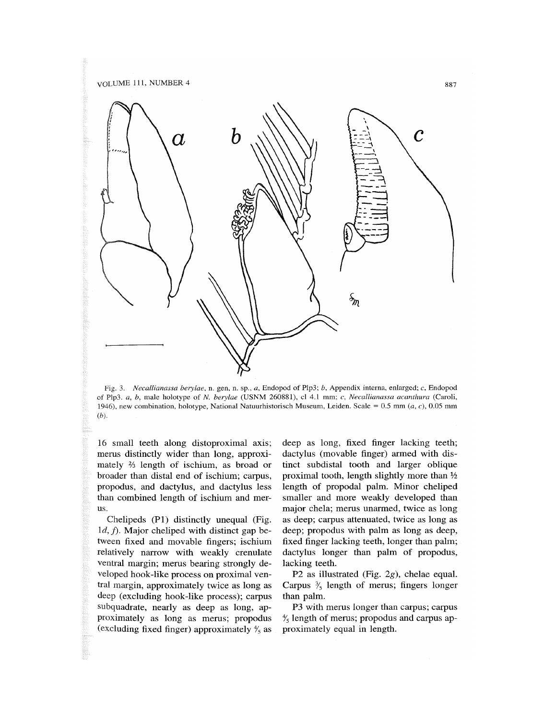

Fig. 3. *Necallianassa berylae,* n. gen, n. sp., *a,* Endopod of Plp3; *b.* Appendix interna, enlarged; *c,* Endopod of Plp3. a, *b,* male holotype of *N. berylae* (USNM 260881), cl 4.1 mm; c, *Necallianassa acanthura* (Caroli, 1946), new combination, holotype, National Natuurhistorisch Museum, Leiden. Scale =  $0.5$  mm (a, c),  $0.05$  mm *(b).* 

16 small teeth along distoproximal axis; merus distinctly wider than long, approximately % length of ischium, as broad or broader than distal end of ischium; carpus, propodus, and dactylus, and dactylus less than combined length of ischium and merus.

Chelipeds (PI) distinctly unequal (Fig. 1*d, f)*. Major cheliped with distinct gap between fixed and movable fingers; ischium relatively narrow with weakly crenulate ventral margin; merus bearing strongly developed hook-like process on proximal ventral margin, approximately twice as long as deep (excluding hook-like process); carpus subquadrate, nearly as deep as long, approximately as long as merus; propodus (excluding fixed finger) approximately *%* as deep as long, fixed finger lacking teeth; dactylus (movable finger) armed with distinct subdistal tooth and larger oblique proximal tooth, length slightly more than % length of propodal palm. Minor cheliped smaller and more weakly developed than major chela; merus unarmed, twice as long as deep; carpus attenuated, twice as long as deep; propodus with palm as long as deep, fixed finger lacking teeth, longer than palm; dactylus longer than palm of propodus, lacking teeth.

P2 as illustrated (Fig. 2g), chelae equal. Carpus *%* length of merus; fingers longer than palm.

P3 with merus longer than carpus; carpus *%* length of merus; propodus and carpus approximately equal in length.